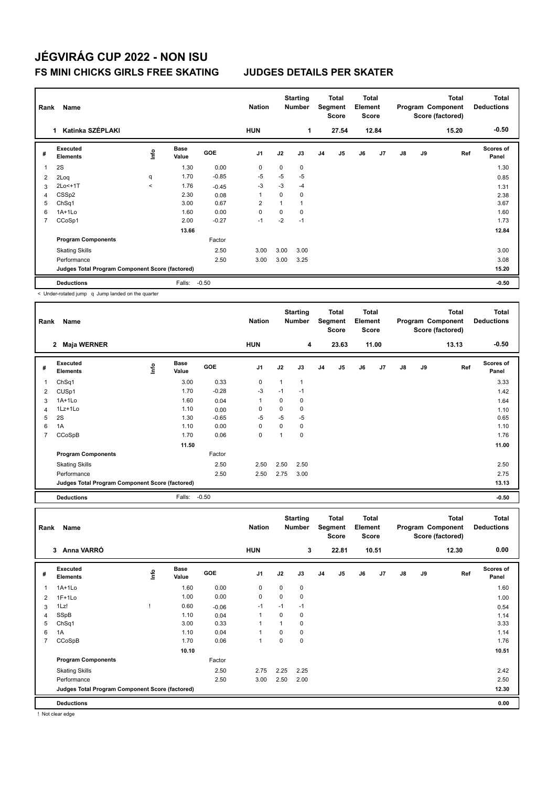## **JÉGVIRÁG CUP 2022 - NON ISU FS MINI CHICKS GIRLS FREE SKATING JUDGES DETAILS PER SKATER**

| Rank           | Name                                            |         |                      |            | <b>Nation</b>  |                | <b>Starting</b><br><b>Number</b> |                | <b>Total</b><br>Segment<br><b>Score</b> | <b>Total</b><br>Element<br>Score |       |               |    | <b>Total</b><br>Program Component<br>Score (factored) | <b>Total</b><br><b>Deductions</b> |
|----------------|-------------------------------------------------|---------|----------------------|------------|----------------|----------------|----------------------------------|----------------|-----------------------------------------|----------------------------------|-------|---------------|----|-------------------------------------------------------|-----------------------------------|
|                | Katinka SZÉPLAKI<br>1.                          |         |                      |            | <b>HUN</b>     |                | 1                                |                | 27.54                                   |                                  | 12.84 |               |    | 15.20                                                 | $-0.50$                           |
| #              | Executed<br><b>Elements</b>                     | ١nf٥    | <b>Base</b><br>Value | <b>GOE</b> | J <sub>1</sub> | J2             | J3                               | J <sub>4</sub> | J5                                      | J6                               | J7    | $\mathsf{J}8$ | J9 | Ref                                                   | <b>Scores of</b><br>Panel         |
| 1              | 2S                                              |         | 1.30                 | 0.00       | 0              | 0              | $\mathbf 0$                      |                |                                         |                                  |       |               |    |                                                       | 1.30                              |
| 2              | 2Loq                                            | q       | 1.70                 | $-0.85$    | $-5$           | $-5$           | $-5$                             |                |                                         |                                  |       |               |    |                                                       | 0.85                              |
| 3              | 2Lo<+1T                                         | $\prec$ | 1.76                 | $-0.45$    | $-3$           | $-3$           | $-4$                             |                |                                         |                                  |       |               |    |                                                       | 1.31                              |
| 4              | CSS <sub>p2</sub>                               |         | 2.30                 | 0.08       | 1              | 0              | $\mathbf 0$                      |                |                                         |                                  |       |               |    |                                                       | 2.38                              |
| 5              | Ch <sub>Sq1</sub>                               |         | 3.00                 | 0.67       | $\overline{2}$ | $\overline{1}$ | $\overline{1}$                   |                |                                         |                                  |       |               |    |                                                       | 3.67                              |
| 6              | $1A+1Lo$                                        |         | 1.60                 | 0.00       | $\Omega$       | 0              | $\mathbf 0$                      |                |                                         |                                  |       |               |    |                                                       | 1.60                              |
| $\overline{7}$ | CCoSp1                                          |         | 2.00                 | $-0.27$    | $-1$           | $-2$           | $-1$                             |                |                                         |                                  |       |               |    |                                                       | 1.73                              |
|                |                                                 |         | 13.66                |            |                |                |                                  |                |                                         |                                  |       |               |    |                                                       | 12.84                             |
|                | <b>Program Components</b>                       |         |                      | Factor     |                |                |                                  |                |                                         |                                  |       |               |    |                                                       |                                   |
|                | <b>Skating Skills</b>                           |         |                      | 2.50       | 3.00           | 3.00           | 3.00                             |                |                                         |                                  |       |               |    |                                                       | 3.00                              |
|                | Performance                                     |         |                      | 2.50       | 3.00           | 3.00           | 3.25                             |                |                                         |                                  |       |               |    |                                                       | 3.08                              |
|                | Judges Total Program Component Score (factored) |         |                      |            |                |                |                                  |                |                                         |                                  |       |               |    |                                                       | 15.20                             |
|                | <b>Deductions</b>                               |         | Falls:               | $-0.50$    |                |                |                                  |                |                                         |                                  |       |               |    |                                                       | $-0.50$                           |

< Under-rotated jump q Jump landed on the quarter

| Rank | Name                                            |      |                      |         | <b>Nation</b>  |      | <b>Starting</b><br><b>Number</b> |                | Total<br>Segment<br><b>Score</b> | <b>Total</b><br>Element<br><b>Score</b> |       |    |    | <b>Total</b><br>Program Component<br>Score (factored) | <b>Total</b><br><b>Deductions</b> |
|------|-------------------------------------------------|------|----------------------|---------|----------------|------|----------------------------------|----------------|----------------------------------|-----------------------------------------|-------|----|----|-------------------------------------------------------|-----------------------------------|
|      | Maja WERNER<br>$\mathbf{2}$                     |      |                      |         | <b>HUN</b>     |      | 4                                |                | 23.63                            |                                         | 11.00 |    |    | 13.13                                                 | $-0.50$                           |
| #    | Executed<br><b>Elements</b>                     | ١nf٥ | <b>Base</b><br>Value | GOE     | J <sub>1</sub> | J2   | J3                               | J <sub>4</sub> | J <sub>5</sub>                   | J6                                      | J7    | J8 | J9 | Ref                                                   | Scores of<br>Panel                |
| 1    | Ch <sub>Sq1</sub>                               |      | 3.00                 | 0.33    | 0              | 1    | $\mathbf{1}$                     |                |                                  |                                         |       |    |    |                                                       | 3.33                              |
| 2    | CUS <sub>p1</sub>                               |      | 1.70                 | $-0.28$ | -3             | $-1$ | $-1$                             |                |                                  |                                         |       |    |    |                                                       | 1.42                              |
| 3    | 1A+1Lo                                          |      | 1.60                 | 0.04    | $\mathbf 1$    | 0    | 0                                |                |                                  |                                         |       |    |    |                                                       | 1.64                              |
| 4    | 1Lz+1Lo                                         |      | 1.10                 | 0.00    | 0              | 0    | 0                                |                |                                  |                                         |       |    |    |                                                       | 1.10                              |
| 5    | 2S                                              |      | 1.30                 | $-0.65$ | $-5$           | $-5$ | $-5$                             |                |                                  |                                         |       |    |    |                                                       | 0.65                              |
| 6    | 1A                                              |      | 1.10                 | 0.00    | $\mathbf 0$    | 0    | 0                                |                |                                  |                                         |       |    |    |                                                       | 1.10                              |
|      | CCoSpB                                          |      | 1.70                 | 0.06    | $\mathbf 0$    | 1    | 0                                |                |                                  |                                         |       |    |    |                                                       | 1.76                              |
|      |                                                 |      | 11.50                |         |                |      |                                  |                |                                  |                                         |       |    |    |                                                       | 11.00                             |
|      | <b>Program Components</b>                       |      |                      | Factor  |                |      |                                  |                |                                  |                                         |       |    |    |                                                       |                                   |
|      | <b>Skating Skills</b>                           |      |                      | 2.50    | 2.50           | 2.50 | 2.50                             |                |                                  |                                         |       |    |    |                                                       | 2.50                              |
|      | Performance                                     |      |                      | 2.50    | 2.50           | 2.75 | 3.00                             |                |                                  |                                         |       |    |    |                                                       | 2.75                              |
|      | Judges Total Program Component Score (factored) |      |                      |         |                |      |                                  |                |                                  |                                         |       |    |    |                                                       | 13.13                             |
|      | <b>Deductions</b>                               |      | Falls:               | $-0.50$ |                |      |                                  |                |                                  |                                         |       |    |    |                                                       | $-0.50$                           |

| Rank           | Name                                            |             |                      |            | <b>Nation</b>  |             | <b>Starting</b><br><b>Number</b> |                | Total<br>Segment<br><b>Score</b> | <b>Total</b><br>Element<br>Score |       |    |    | <b>Total</b><br>Program Component<br>Score (factored) | <b>Total</b><br><b>Deductions</b> |
|----------------|-------------------------------------------------|-------------|----------------------|------------|----------------|-------------|----------------------------------|----------------|----------------------------------|----------------------------------|-------|----|----|-------------------------------------------------------|-----------------------------------|
|                | Anna VARRÓ<br>3                                 |             |                      |            | <b>HUN</b>     |             | 3                                |                | 22.81                            |                                  | 10.51 |    |    | 12.30                                                 | 0.00                              |
| #              | <b>Executed</b><br><b>Elements</b>              | <b>Info</b> | <b>Base</b><br>Value | <b>GOE</b> | J <sub>1</sub> | J2          | J3                               | J <sub>4</sub> | J5                               | J6                               | J7    | J8 | J9 | Ref                                                   | Scores of<br>Panel                |
| 1              | $1A+1Lo$                                        |             | 1.60                 | 0.00       | 0              | $\mathbf 0$ | $\pmb{0}$                        |                |                                  |                                  |       |    |    |                                                       | 1.60                              |
| 2              | $1F+1Lo$                                        |             | 1.00                 | 0.00       | 0              | $\mathbf 0$ | 0                                |                |                                  |                                  |       |    |    |                                                       | 1.00                              |
| 3              | 1Lz!                                            |             | 0.60                 | $-0.06$    | $-1$           | $-1$        | $-1$                             |                |                                  |                                  |       |    |    |                                                       | 0.54                              |
| 4              | SSpB                                            |             | 1.10                 | 0.04       |                | 0           | 0                                |                |                                  |                                  |       |    |    |                                                       | 1.14                              |
| 5              | Ch <sub>Sq1</sub>                               |             | 3.00                 | 0.33       |                | 1           | 0                                |                |                                  |                                  |       |    |    |                                                       | 3.33                              |
| 6              | 1A                                              |             | 1.10                 | 0.04       |                | $\Omega$    | 0                                |                |                                  |                                  |       |    |    |                                                       | 1.14                              |
| $\overline{7}$ | CCoSpB                                          |             | 1.70                 | 0.06       |                | 0           | $\mathbf 0$                      |                |                                  |                                  |       |    |    |                                                       | 1.76                              |
|                |                                                 |             | 10.10                |            |                |             |                                  |                |                                  |                                  |       |    |    |                                                       | 10.51                             |
|                | <b>Program Components</b>                       |             |                      | Factor     |                |             |                                  |                |                                  |                                  |       |    |    |                                                       |                                   |
|                | <b>Skating Skills</b>                           |             |                      | 2.50       | 2.75           | 2.25        | 2.25                             |                |                                  |                                  |       |    |    |                                                       | 2.42                              |
|                | Performance                                     |             |                      | 2.50       | 3.00           | 2.50        | 2.00                             |                |                                  |                                  |       |    |    |                                                       | 2.50                              |
|                | Judges Total Program Component Score (factored) |             |                      |            |                |             |                                  |                |                                  |                                  |       |    |    |                                                       | 12.30                             |
|                | <b>Deductions</b>                               |             |                      |            |                |             |                                  |                |                                  |                                  |       |    |    |                                                       | 0.00                              |

! Not clear edge